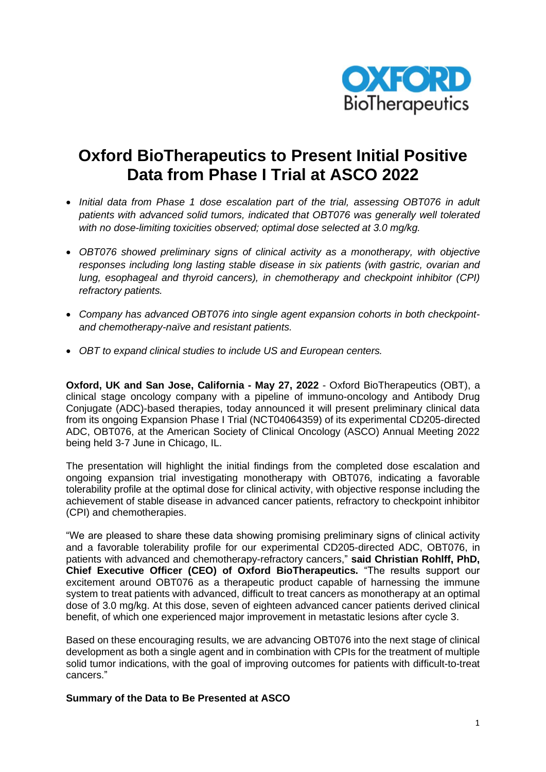

# **Oxford BioTherapeutics to Present Initial Positive Data from Phase I Trial at ASCO 2022**

- *Initial data from Phase 1 dose escalation part of the trial, assessing OBT076 in adult patients with advanced solid tumors, indicated that OBT076 was generally well tolerated with no dose-limiting toxicities observed; optimal dose selected at 3.0 mg/kg.*
- *OBT076 showed preliminary signs of clinical activity as a monotherapy, with objective responses including long lasting stable disease in six patients (with gastric, ovarian and lung, esophageal and thyroid cancers), in chemotherapy and checkpoint inhibitor (CPI) refractory patients.*
- *Company has advanced OBT076 into single agent expansion cohorts in both checkpointand chemotherapy-naïve and resistant patients.*
- *OBT to expand clinical studies to include US and European centers.*

**Oxford, UK and San Jose, California - May 27, 2022** - Oxford BioTherapeutics (OBT), a clinical stage oncology company with a pipeline of immuno-oncology and Antibody Drug Conjugate (ADC)-based therapies, today announced it will present preliminary clinical data from its ongoing Expansion Phase I Trial (NCT04064359) of its experimental CD205-directed ADC, OBT076, at the American Society of Clinical Oncology (ASCO) Annual Meeting 2022 being held 3-7 June in Chicago, IL.

The presentation will highlight the initial findings from the completed dose escalation and ongoing expansion trial investigating monotherapy with OBT076, indicating a favorable tolerability profile at the optimal dose for clinical activity, with objective response including the achievement of stable disease in advanced cancer patients, refractory to checkpoint inhibitor (CPI) and chemotherapies.

"We are pleased to share these data showing promising preliminary signs of clinical activity and a favorable tolerability profile for our experimental CD205-directed ADC, OBT076, in patients with advanced and chemotherapy-refractory cancers," **said Christian Rohlff, PhD, Chief Executive Officer (CEO) of Oxford BioTherapeutics.** "The results support our excitement around OBT076 as a therapeutic product capable of harnessing the immune system to treat patients with advanced, difficult to treat cancers as monotherapy at an optimal dose of 3.0 mg/kg. At this dose, seven of eighteen advanced cancer patients derived clinical benefit, of which one experienced major improvement in metastatic lesions after cycle 3.

Based on these encouraging results, we are advancing OBT076 into the next stage of clinical development as both a single agent and in combination with CPIs for the treatment of multiple solid tumor indications, with the goal of improving outcomes for patients with difficult-to-treat cancers."

**Summary of the Data to Be Presented at ASCO**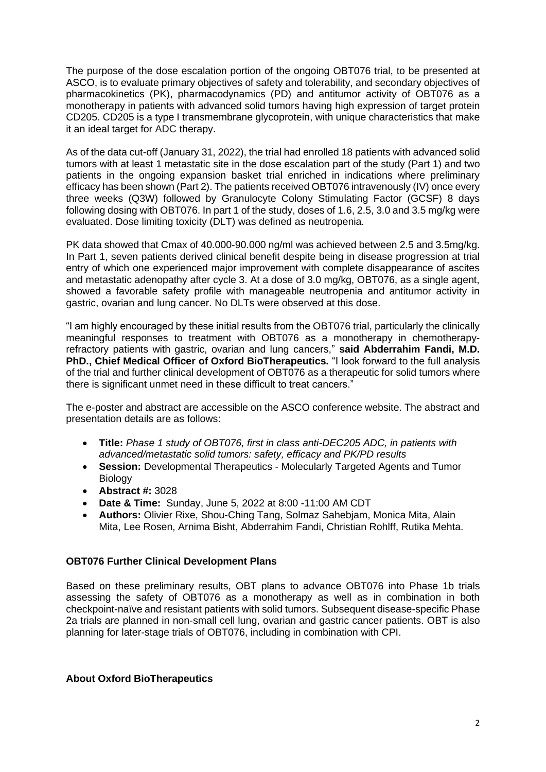The purpose of the dose escalation portion of the ongoing OBT076 trial, to be presented at ASCO, is to evaluate primary objectives of safety and tolerability, and secondary objectives of pharmacokinetics (PK), pharmacodynamics (PD) and antitumor activity of OBT076 as a monotherapy in patients with advanced solid tumors having high expression of target protein CD205. CD205 is a type I transmembrane glycoprotein, with unique characteristics that make it an ideal target for ADC therapy.

As of the data cut-off (January 31, 2022), the trial had enrolled 18 patients with advanced solid tumors with at least 1 metastatic site in the dose escalation part of the study (Part 1) and two patients in the ongoing expansion basket trial enriched in indications where preliminary efficacy has been shown (Part 2). The patients received OBT076 intravenously (IV) once every three weeks (Q3W) followed by Granulocyte Colony Stimulating Factor (GCSF) 8 days following dosing with OBT076. In part 1 of the study, doses of 1.6, 2.5, 3.0 and 3.5 mg/kg were evaluated. Dose limiting toxicity (DLT) was defined as neutropenia.

PK data showed that Cmax of 40.000-90.000 ng/ml was achieved between 2.5 and 3.5mg/kg. In Part 1, seven patients derived clinical benefit despite being in disease progression at trial entry of which one experienced major improvement with complete disappearance of ascites and metastatic adenopathy after cycle 3. At a dose of 3.0 mg/kg, OBT076, as a single agent, showed a favorable safety profile with manageable neutropenia and antitumor activity in gastric, ovarian and lung cancer. No DLTs were observed at this dose.

"I am highly encouraged by these initial results from the OBT076 trial, particularly the clinically meaningful responses to treatment with OBT076 as a monotherapy in chemotherapyrefractory patients with gastric, ovarian and lung cancers," **said Abderrahim Fandi, M.D. PhD., Chief Medical Officer of Oxford BioTherapeutics.** "I look forward to the full analysis of the trial and further clinical development of OBT076 as a therapeutic for solid tumors where there is significant unmet need in these difficult to treat cancers."

The e-poster and abstract are accessible on the ASCO conference website. The abstract and presentation details are as follows:

- **Title:** *Phase 1 study of OBT076, first in class anti-DEC205 ADC, in patients with advanced/metastatic solid tumors: safety, efficacy and PK/PD results*
- **Session:** Developmental Therapeutics Molecularly Targeted Agents and Tumor **Biology**
- **Abstract #:** 3028
- **Date & Time:** Sunday, June 5, 2022 at 8:00 -11:00 AM CDT
- **Authors:** Olivier Rixe, Shou-Ching Tang, Solmaz Sahebjam, Monica Mita, Alain Mita, Lee Rosen, Arnima Bisht, Abderrahim Fandi, Christian Rohlff, Rutika Mehta.

# **OBT076 Further Clinical Development Plans**

Based on these preliminary results, OBT plans to advance OBT076 into Phase 1b trials assessing the safety of OBT076 as a monotherapy as well as in combination in both checkpoint-naïve and resistant patients with solid tumors. Subsequent disease-specific Phase 2a trials are planned in non-small cell lung, ovarian and gastric cancer patients. OBT is also planning for later-stage trials of OBT076, including in combination with CPI.

# **About Oxford BioTherapeutics**